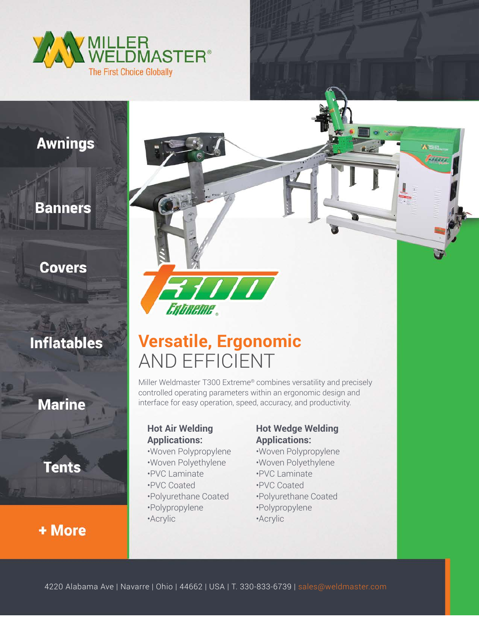

# **Awnings**

## **Banners**

## **Covers**

# **Inflatables**

# **Marine**

**Tents** 

# + More



# **Versatile, Ergonomic** AND EFFICIENT

Miller Weldmaster T300 Extreme® combines versatility and precisely controlled operating parameters within an ergonomic design and interface for easy operation, speed, accuracy, and productivity.

### **Hot Air Welding Applications:**

- •Woven Polypropylene
- •Woven Polyethylene
- •PVC Laminate
- •PVC Coated
- •Polyurethane Coated
- •Polypropylene
- •Acrylic

#### **Hot Wedge Welding Applications:**

**A WHEEL SAUT** 

- •Woven Polypropylene
- •Woven Polyethylene
- •PVC Laminate
- •PVC Coated
- •Polyurethane Coated
- •Polypropylene
- •Acrylic